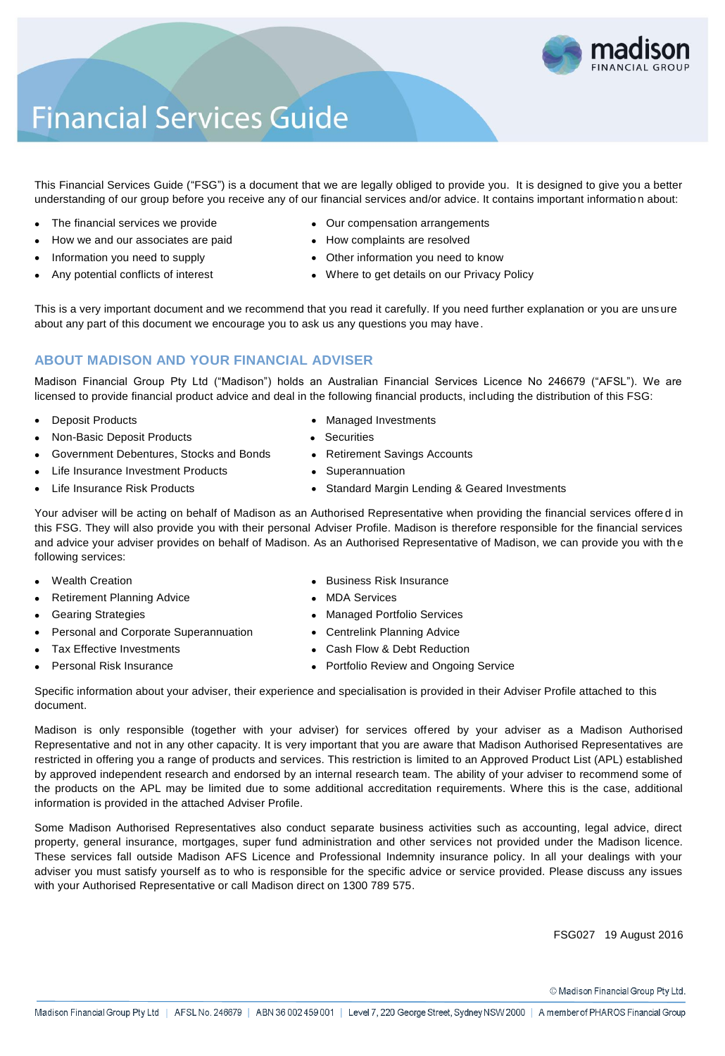

# **Financial Services Guide**

This Financial Services Guide ("FSG") is a document that we are legally obliged to provide you. It is designed to give you a better understanding of our group before you receive any of our financial services and/or advice. It contains important informatio n about:

- 
- How we and our associates are paid **How complaints are resolved**
- 
- 
- The financial services we provide **COU COU COU COU** compensation arrangements
	-
- Information you need to supply **and the Community of Community** Other information you need to know
- Any potential conflicts of interest **Where to get details on our Privacy Policy**

This is a very important document and we recommend that you read it carefully. If you need further explanation or you are uns ure about any part of this document we encourage you to ask us any questions you may have.

# **ABOUT MADISON AND YOUR FINANCIAL ADVISER**

Madison Financial Group Pty Ltd ("Madison") holds an Australian Financial Services Licence No 246679 ("AFSL"). We are licensed to provide financial product advice and deal in the following financial products, including the distribution of this FSG:

- 
- Non-Basic Deposit Products **Securities Securities**
- Government Debentures, Stocks and Bonds **••** Retirement Savings Accounts
	- Life Insurance Investment Products **Conserversity** Superannuation
- 
- Deposit Products **Managed Investments Managed Investments** 
	-
	-
	-
	- Life Insurance Risk Products **Standard Margin Lending & Geared Investments Standard Margin Lending & Geared Investments**

Your adviser will be acting on behalf of Madison as an Authorised Representative when providing the financial services offere d in this FSG. They will also provide you with their personal Adviser Profile. Madison is therefore responsible for the financial services and advice your adviser provides on behalf of Madison. As an Authorised Representative of Madison, we can provide you with the following services:

- 
- Retirement Planning Advice **MDA** Services
- 
- Personal and Corporate Superannuation Centrelink Planning Advice
- 
- 
- Wealth Creation **Business Risk Insurance Business Risk Insurance** 
	-
- Gearing Strategies **Contract Contract Contract Contract Contract Contract Contract Contract Contract Contract Contract Contract Contract Contract Contract Contract Contract Contract Contract Contract Contract Contract Cont** 
	-
- Tax Effective Investments **Cash Flow & Debt Reduction Cash Flow & Debt Reduction**
- Personal Risk Insurance **Portfolio Review and Ongoing Service Portfolio Review and Ongoing Service**

Specific information about your adviser, their experience and specialisation is provided in their Adviser Profile attached to this document.

Madison is only responsible (together with your adviser) for services offered by your adviser as a Madison Authorised Representative and not in any other capacity. It is very important that you are aware that Madison Authorised Representatives are restricted in offering you a range of products and services. This restriction is limited to an Approved Product List (APL) established by approved independent research and endorsed by an internal research team. The ability of your adviser to recommend some of the products on the APL may be limited due to some additional accreditation requirements. Where this is the case, additional information is provided in the attached Adviser Profile.

Some Madison Authorised Representatives also conduct separate business activities such as accounting, legal advice, direct property, general insurance, mortgages, super fund administration and other services not provided under the Madison licence. These services fall outside Madison AFS Licence and Professional Indemnity insurance policy. In all your dealings with your adviser you must satisfy yourself as to who is responsible for the specific advice or service provided. Please discuss any issues with your Authorised Representative or call Madison direct on 1300 789 575.

FSG027 19 August 2016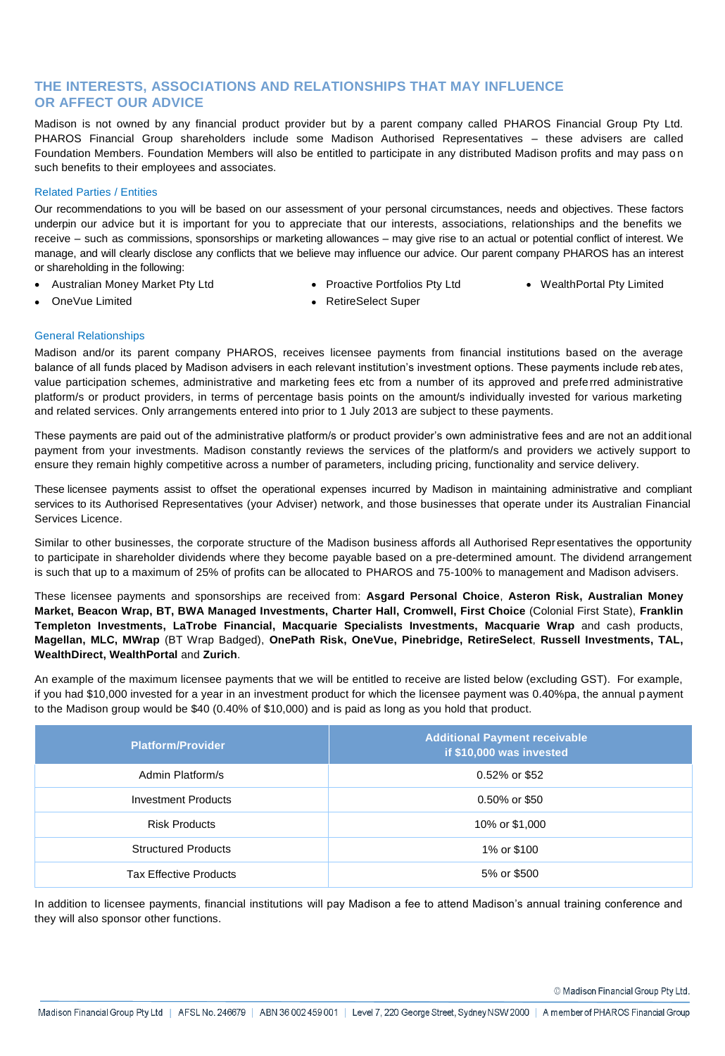# **THE INTERESTS, ASSOCIATIONS AND RELATIONSHIPS THAT MAY INFLUENCE OR AFFECT OUR ADVICE**

Madison is not owned by any financial product provider but by a parent company called PHAROS Financial Group Pty Ltd. PHAROS Financial Group shareholders include some Madison Authorised Representatives – these advisers are called Foundation Members. Foundation Members will also be entitled to participate in any distributed Madison profits and may pass on such benefits to their employees and associates.

#### Related Parties / Entities

Our recommendations to you will be based on our assessment of your personal circumstances, needs and objectives. These factors underpin our advice but it is important for you to appreciate that our interests, associations, relationships and the benefits we receive – such as commissions, sponsorships or marketing allowances – may give rise to an actual or potential conflict of interest. We manage, and will clearly disclose any conflicts that we believe may influence our advice. Our parent company PHAROS has an interest or shareholding in the following:

- Australian Money Market Pty Ltd Proactive Portfolios Pty Ltd WealthPortal Pty Limited
	-
- 
- 
- OneVue Limited **Contains a Container Container Container** PetiteSelect Super
- 

General Relationships

Madison and/or its parent company PHAROS, receives licensee payments from financial institutions based on the average balance of all funds placed by Madison advisers in each relevant institution's investment options. These payments include reb ates, value participation schemes, administrative and marketing fees etc from a number of its approved and preferred administrative platform/s or product providers, in terms of percentage basis points on the amount/s individually invested for various marketing and related services. Only arrangements entered into prior to 1 July 2013 are subject to these payments.

These payments are paid out of the administrative platform/s or product provider's own administrative fees and are not an addit ional payment from your investments. Madison constantly reviews the services of the platform/s and providers we actively support to ensure they remain highly competitive across a number of parameters, including pricing, functionality and service delivery.

These licensee payments assist to offset the operational expenses incurred by Madison in maintaining administrative and compliant services to its Authorised Representatives (your Adviser) network, and those businesses that operate under its Australian Financial Services Licence.

Similar to other businesses, the corporate structure of the Madison business affords all Authorised Representatives the opportunity to participate in shareholder dividends where they become payable based on a pre-determined amount. The dividend arrangement is such that up to a maximum of 25% of profits can be allocated to PHAROS and 75-100% to management and Madison advisers.

These licensee payments and sponsorships are received from: **Asgard Personal Choice**, **Asteron Risk, Australian Money Market, Beacon Wrap, BT, BWA Managed Investments, Charter Hall, Cromwell, First Choice** (Colonial First State), **Franklin Templeton Investments, LaTrobe Financial, Macquarie Specialists Investments, Macquarie Wrap** and cash products, **Magellan, MLC, MWrap** (BT Wrap Badged), **OnePath Risk, OneVue, Pinebridge, RetireSelect**, **Russell Investments, TAL, WealthDirect, WealthPortal** and **Zurich**.

An example of the maximum licensee payments that we will be entitled to receive are listed below (excluding GST). For example, if you had \$10,000 invested for a year in an investment product for which the licensee payment was 0.40%pa, the annual p ayment to the Madison group would be \$40 (0.40% of \$10,000) and is paid as long as you hold that product.

| <b>Platform/Provider</b>      | <b>Additional Payment receivable</b><br>if \$10,000 was invested |
|-------------------------------|------------------------------------------------------------------|
| Admin Platform/s              | 0.52% or \$52                                                    |
| <b>Investment Products</b>    | 0.50% or \$50                                                    |
| <b>Risk Products</b>          | 10% or \$1,000                                                   |
| <b>Structured Products</b>    | 1% or \$100                                                      |
| <b>Tax Effective Products</b> | 5% or \$500                                                      |

In addition to licensee payments, financial institutions will pay Madison a fee to attend Madison's annual training conference and they will also sponsor other functions.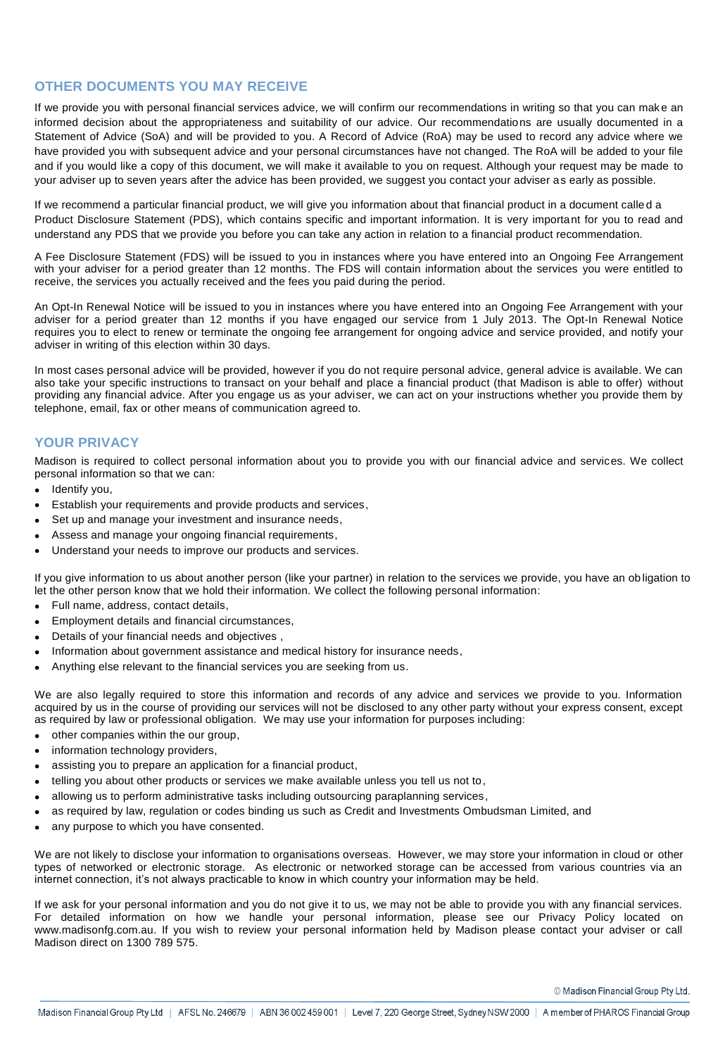#### **OTHER DOCUMENTS YOU MAY RECEIVE**

If we provide you with personal financial services advice, we will confirm our recommendations in writing so that you can make an informed decision about the appropriateness and suitability of our advice. Our recommendations are usually documented in a Statement of Advice (SoA) and will be provided to you. A Record of Advice (RoA) may be used to record any advice where we have provided you with subsequent advice and your personal circumstances have not changed. The RoA will be added to your file and if you would like a copy of this document, we will make it available to you on request. Although your request may be made to your adviser up to seven years after the advice has been provided, we suggest you contact your adviser as early as possible.

If we recommend a particular financial product, we will give you information about that financial product in a document calle d a Product Disclosure Statement (PDS), which contains specific and important information. It is very important for you to read and understand any PDS that we provide you before you can take any action in relation to a financial product recommendation.

A Fee Disclosure Statement (FDS) will be issued to you in instances where you have entered into an Ongoing Fee Arrangement with your adviser for a period greater than 12 months. The FDS will contain information about the services you were entitled to receive, the services you actually received and the fees you paid during the period.

An Opt-In Renewal Notice will be issued to you in instances where you have entered into an Ongoing Fee Arrangement with your adviser for a period greater than 12 months if you have engaged our service from 1 July 2013. The Opt-In Renewal Notice requires you to elect to renew or terminate the ongoing fee arrangement for ongoing advice and service provided, and notify your adviser in writing of this election within 30 days.

In most cases personal advice will be provided, however if you do not require personal advice, general advice is available. We can also take your specific instructions to transact on your behalf and place a financial product (that Madison is able to offer) without providing any financial advice. After you engage us as your adviser, we can act on your instructions whether you provide them by telephone, email, fax or other means of communication agreed to.

## **YOUR PRIVACY**

Madison is required to collect personal information about you to provide you with our financial advice and services. We collect personal information so that we can:

- Identify you,
- Establish your requirements and provide products and services,
- Set up and manage your investment and insurance needs,
- Assess and manage your ongoing financial requirements,
- Understand your needs to improve our products and services.

If you give information to us about another person (like your partner) in relation to the services we provide, you have an ob ligation to let the other person know that we hold their information. We collect the following personal information:

- Full name, address, contact details,
- Employment details and financial circumstances,
- Details of your financial needs and objectives ,
- Information about government assistance and medical history for insurance needs,
- Anything else relevant to the financial services you are seeking from us.

We are also legally required to store this information and records of any advice and services we provide to you. Information acquired by us in the course of providing our services will not be disclosed to any other party without your express consent, except as required by law or professional obligation. We may use your information for purposes including:

- other companies within the our group,
- information technology providers,
- assisting you to prepare an application for a financial product,
- telling you about other products or services we make available unless you tell us not to,
- allowing us to perform administrative tasks including outsourcing paraplanning services,
- as required by law, regulation or codes binding us such as Credit and Investments Ombudsman Limited, and
- any purpose to which you have consented.

We are not likely to disclose your information to organisations overseas. However, we may store your information in cloud or other types of networked or electronic storage. As electronic or networked storage can be accessed from various countries via an internet connection, it's not always practicable to know in which country your information may be held.

If we ask for your personal information and you do not give it to us, we may not be able to provide you with any financial services. For detailed information on how we handle your personal information, please see our Privacy Policy located on www.madisonfg.com.au. If you wish to review your personal information held by Madison please contact your adviser or call Madison direct on 1300 789 575.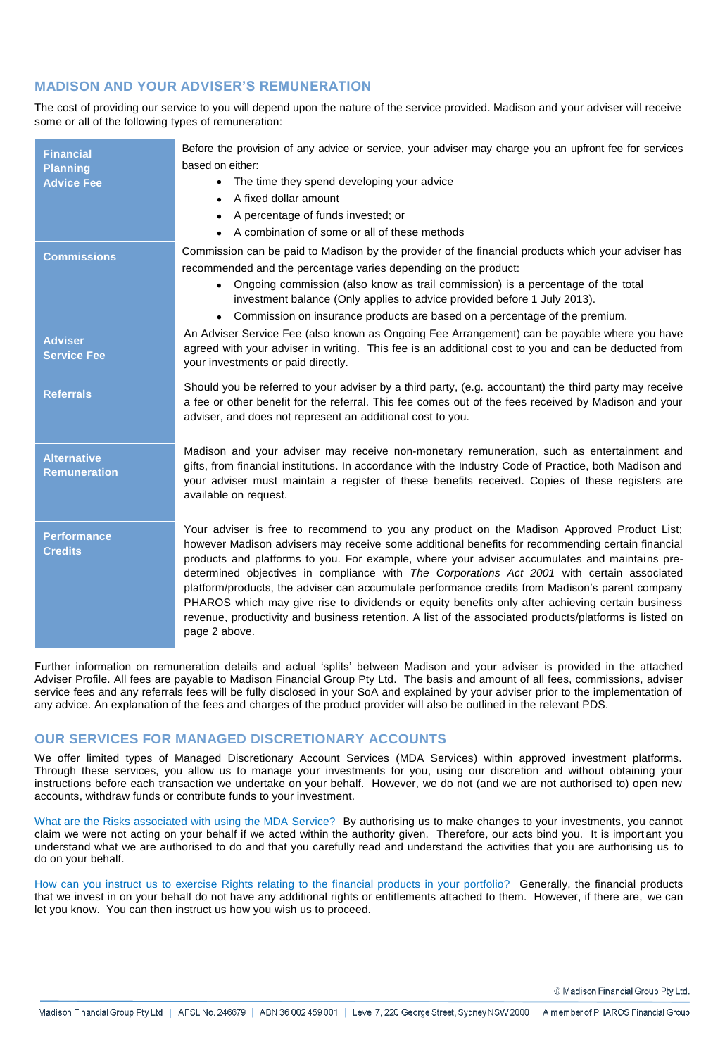## **MADISON AND YOUR ADVISER'S REMUNERATION**

The cost of providing our service to you will depend upon the nature of the service provided. Madison and your adviser will receive some or all of the following types of remuneration:

| <b>Financial</b><br><b>Planning</b><br><b>Advice Fee</b> | Before the provision of any advice or service, your adviser may charge you an upfront fee for services<br>based on either:<br>The time they spend developing your advice<br>$\bullet$<br>A fixed dollar amount<br>$\bullet$<br>A percentage of funds invested; or<br>• A combination of some or all of these methods                                                                                                                                                                                                                                                                                                                                                                                                            |
|----------------------------------------------------------|---------------------------------------------------------------------------------------------------------------------------------------------------------------------------------------------------------------------------------------------------------------------------------------------------------------------------------------------------------------------------------------------------------------------------------------------------------------------------------------------------------------------------------------------------------------------------------------------------------------------------------------------------------------------------------------------------------------------------------|
| <b>Commissions</b>                                       | Commission can be paid to Madison by the provider of the financial products which your adviser has<br>recommended and the percentage varies depending on the product:<br>Ongoing commission (also know as trail commission) is a percentage of the total<br>$\bullet$<br>investment balance (Only applies to advice provided before 1 July 2013).                                                                                                                                                                                                                                                                                                                                                                               |
|                                                          | Commission on insurance products are based on a percentage of the premium.                                                                                                                                                                                                                                                                                                                                                                                                                                                                                                                                                                                                                                                      |
| <b>Adviser</b><br><b>Service Fee</b>                     | An Adviser Service Fee (also known as Ongoing Fee Arrangement) can be payable where you have<br>agreed with your adviser in writing. This fee is an additional cost to you and can be deducted from<br>your investments or paid directly.                                                                                                                                                                                                                                                                                                                                                                                                                                                                                       |
| <b>Referrals</b>                                         | Should you be referred to your adviser by a third party, (e.g. accountant) the third party may receive<br>a fee or other benefit for the referral. This fee comes out of the fees received by Madison and your<br>adviser, and does not represent an additional cost to you.                                                                                                                                                                                                                                                                                                                                                                                                                                                    |
| <b>Alternative</b><br><b>Remuneration</b>                | Madison and your adviser may receive non-monetary remuneration, such as entertainment and<br>gifts, from financial institutions. In accordance with the Industry Code of Practice, both Madison and<br>your adviser must maintain a register of these benefits received. Copies of these registers are<br>available on request.                                                                                                                                                                                                                                                                                                                                                                                                 |
| <b>Performance</b><br><b>Credits</b>                     | Your adviser is free to recommend to you any product on the Madison Approved Product List;<br>however Madison advisers may receive some additional benefits for recommending certain financial<br>products and platforms to you. For example, where your adviser accumulates and maintains pre-<br>determined objectives in compliance with The Corporations Act 2001 with certain associated<br>platform/products, the adviser can accumulate performance credits from Madison's parent company<br>PHAROS which may give rise to dividends or equity benefits only after achieving certain business<br>revenue, productivity and business retention. A list of the associated products/platforms is listed on<br>page 2 above. |

Further information on remuneration details and actual 'splits' between Madison and your adviser is provided in the attached Adviser Profile. All fees are payable to Madison Financial Group Pty Ltd. The basis and amount of all fees, commissions, adviser service fees and any referrals fees will be fully disclosed in your SoA and explained by your adviser prior to the implementation of any advice. An explanation of the fees and charges of the product provider will also be outlined in the relevant PDS.

#### **OUR SERVICES FOR MANAGED DISCRETIONARY ACCOUNTS**

We offer limited types of Managed Discretionary Account Services (MDA Services) within approved investment platforms. Through these services, you allow us to manage your investments for you, using our discretion and without obtaining your instructions before each transaction we undertake on your behalf. However, we do not (and we are not authorised to) open new accounts, withdraw funds or contribute funds to your investment.

What are the Risks associated with using the MDA Service? By authorising us to make changes to your investments, you cannot claim we were not acting on your behalf if we acted within the authority given. Therefore, our acts bind you. It is important you understand what we are authorised to do and that you carefully read and understand the activities that you are authorising us to do on your behalf.

How can you instruct us to exercise Rights relating to the financial products in your portfolio? Generally, the financial products that we invest in on your behalf do not have any additional rights or entitlements attached to them. However, if there are, we can let you know. You can then instruct us how you wish us to proceed.